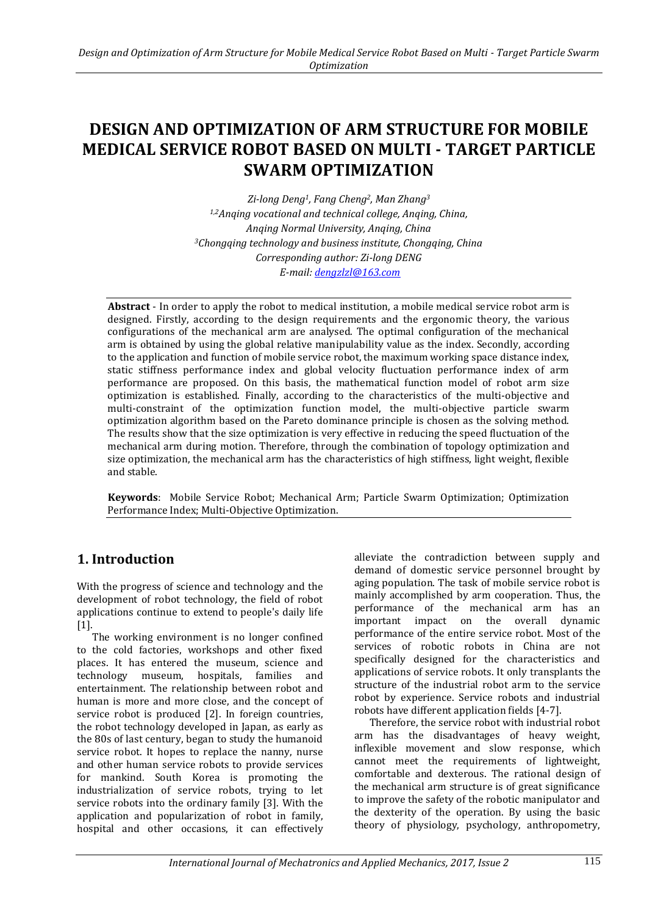# **DESIGN AND OPTIMIZATION OF ARM STRUCTURE FOR MOBILE MEDICAL SERVICE ROBOT BASED ON MULTI - TARGET PARTICLE SWARM OPTIMIZATION**

*Zi-long Deng1, Fang Cheng2, Man Zhang<sup>3</sup> 1,2Anqing vocational and technical college, Anqing, China, Anqing Normal University, Anqing, China <sup>3</sup>Chongqing technology and business institute, Chongqing, China Corresponding author: Zi-long DENG E-mail[: dengzlzl@163.com](mailto:dengzlzl@163.com)*

**Abstract** - In order to apply the robot to medical institution, a mobile medical service robot arm is designed. Firstly, according to the design requirements and the ergonomic theory, the various configurations of the mechanical arm are analysed. The optimal configuration of the mechanical arm is obtained by using the global relative manipulability value as the index. Secondly, according to the application and function of mobile service robot, the maximum working space distance index, static stiffness performance index and global velocity fluctuation performance index of arm performance are proposed. On this basis, the mathematical function model of robot arm size optimization is established. Finally, according to the characteristics of the multi-objective and multi-constraint of the optimization function model, the multi-objective particle swarm optimization algorithm based on the Pareto dominance principle is chosen as the solving method. The results show that the size optimization is very effective in reducing the speed fluctuation of the mechanical arm during motion. Therefore, through the combination of topology optimization and size optimization, the mechanical arm has the characteristics of high stiffness, light weight, flexible and stable.

**Keywords**: Mobile Service Robot; Mechanical Arm; Particle Swarm Optimization; Optimization Performance Index; Multi-Objective Optimization.

### **1. Introduction**

With the progress of science and technology and the development of robot technology, the field of robot applications continue to extend to people's daily life [1].

The working environment is no longer confined to the cold factories, workshops and other fixed places. It has entered the museum, science and technology museum, hospitals, families and entertainment. The relationship between robot and human is more and more close, and the concept of service robot is produced [2]. In foreign countries, the robot technology developed in Japan, as early as the 80s of last century, began to study the humanoid service robot. It hopes to replace the nanny, nurse and other human service robots to provide services for mankind. South Korea is promoting the industrialization of service robots, trying to let service robots into the ordinary family [3]. With the application and popularization of robot in family, hospital and other occasions, it can effectively

alleviate the contradiction between supply and demand of domestic service personnel brought by aging population. The task of mobile service robot is mainly accomplished by arm cooperation. Thus, the performance of the mechanical arm has an important impact on the overall dynamic performance of the entire service robot. Most of the services of robotic robots in China are not specifically designed for the characteristics and applications of service robots. It only transplants the structure of the industrial robot arm to the service robot by experience. Service robots and industrial robots have different application fields [4-7].

Therefore, the service robot with industrial robot arm has the disadvantages of heavy weight, inflexible movement and slow response, which cannot meet the requirements of lightweight, comfortable and dexterous. The rational design of the mechanical arm structure is of great significance to improve the safety of the robotic manipulator and the dexterity of the operation. By using the basic theory of physiology, psychology, anthropometry,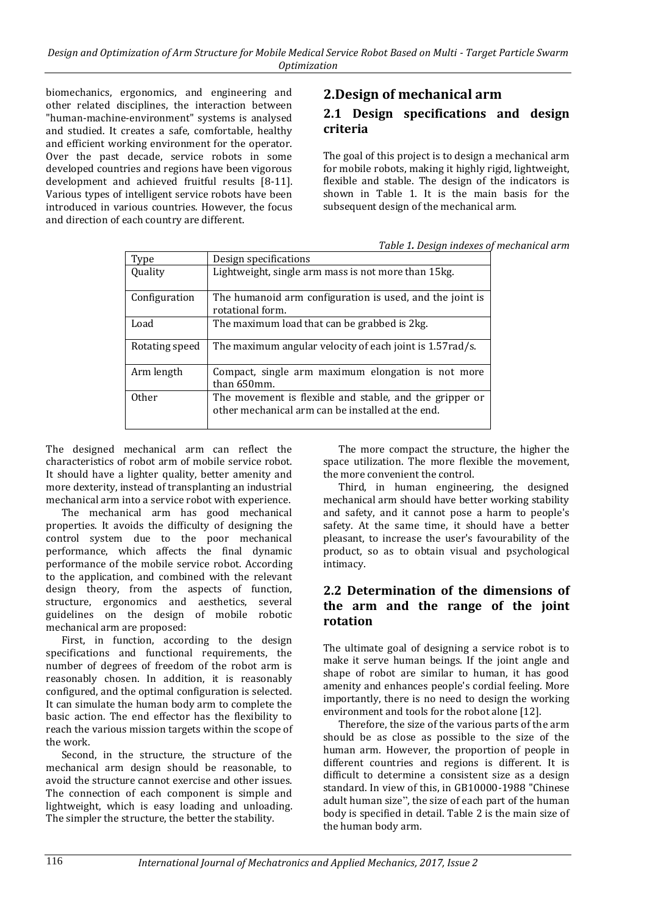biomechanics, ergonomics, and engineering and other related disciplines, the interaction between "human-machine-environment" systems is analysed and studied. It creates a safe, comfortable, healthy and efficient working environment for the operator. Over the past decade, service robots in some developed countries and regions have been vigorous development and achieved fruitful results [8-11]. Various types of intelligent service robots have been introduced in various countries. However, the focus and direction of each country are different.

# **2.Design of mechanical arm**

#### **2.1 Design specifications and design criteria**

The goal of this project is to design a mechanical arm for mobile robots, making it highly rigid, lightweight, flexible and stable. The design of the indicators is shown in Table 1. It is the main basis for the subsequent design of the mechanical arm.

*Table 1. Design indexes of mechanical arm*

| Type           | Design specifications                                                                                        |
|----------------|--------------------------------------------------------------------------------------------------------------|
| Quality        | Lightweight, single arm mass is not more than 15kg.                                                          |
| Configuration  | The humanoid arm configuration is used, and the joint is<br>rotational form.                                 |
| Load           | The maximum load that can be grabbed is 2kg.                                                                 |
| Rotating speed | The maximum angular velocity of each joint is 1.57rad/s.                                                     |
| Arm length     | Compact, single arm maximum elongation is not more<br>than 650mm.                                            |
| <b>Other</b>   | The movement is flexible and stable, and the gripper or<br>other mechanical arm can be installed at the end. |

The designed mechanical arm can reflect the characteristics of robot arm of mobile service robot. It should have a lighter quality, better amenity and more dexterity, instead of transplanting an industrial mechanical arm into a service robot with experience.

The mechanical arm has good mechanical properties. It avoids the difficulty of designing the control system due to the poor mechanical performance, which affects the final dynamic performance of the mobile service robot. According to the application, and combined with the relevant design theory, from the aspects of function, structure, ergonomics and aesthetics, several guidelines on the design of mobile robotic mechanical arm are proposed:

First, in function, according to the design specifications and functional requirements, the number of degrees of freedom of the robot arm is reasonably chosen. In addition, it is reasonably configured, and the optimal configuration is selected. It can simulate the human body arm to complete the basic action. The end effector has the flexibility to reach the various mission targets within the scope of the work.

Second, in the structure, the structure of the mechanical arm design should be reasonable, to avoid the structure cannot exercise and other issues. The connection of each component is simple and lightweight, which is easy loading and unloading. The simpler the structure, the better the stability.

The more compact the structure, the higher the space utilization. The more flexible the movement, the more convenient the control.

Third, in human engineering, the designed mechanical arm should have better working stability and safety, and it cannot pose a harm to people's safety. At the same time, it should have a better pleasant, to increase the user's favourability of the product, so as to obtain visual and psychological intimacy.

#### **2.2 Determination of the dimensions of the arm and the range of the joint rotation**

The ultimate goal of designing a service robot is to make it serve human beings. If the joint angle and shape of robot are similar to human, it has good amenity and enhances people's cordial feeling. More importantly, there is no need to design the working environment and tools for the robot alone [12].

Therefore, the size of the various parts of the arm should be as close as possible to the size of the human arm. However, the proportion of people in different countries and regions is different. It is difficult to determine a consistent size as a design standard. In view of this, in GB10000-1988 "Chinese adult human size", the size of each part of the human body is specified in detail. Table 2 is the main size of the human body arm.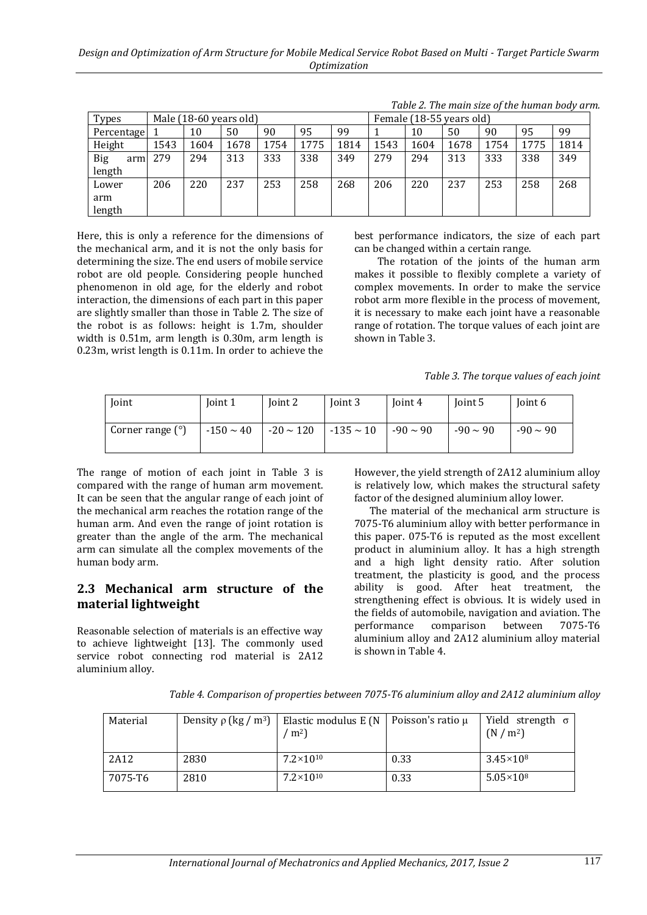| <b>Types</b>      |      | Male (18-60 years old) |      |      |      | Female (18-55 years old) |      |      |      |      |      |      |
|-------------------|------|------------------------|------|------|------|--------------------------|------|------|------|------|------|------|
| Percentage        |      | 10                     | 50   | 90   | 95   | 99                       |      | 10   | 50   | 90   | 95   | 99   |
| Height            | 1543 | 1604                   | 1678 | 1754 | 1775 | 1814                     | 1543 | 1604 | 1678 | 1754 | 1775 | 1814 |
| <b>Big</b><br>arm | 279  | 294                    | 313  | 333  | 338  | 349                      | 279  | 294  | 313  | 333  | 338  | 349  |
| length            |      |                        |      |      |      |                          |      |      |      |      |      |      |
| Lower             | 206  | 220                    | 237  | 253  | 258  | 268                      | 206  | 220  | 237  | 253  | 258  | 268  |
| arm               |      |                        |      |      |      |                          |      |      |      |      |      |      |
| length            |      |                        |      |      |      |                          |      |      |      |      |      |      |

*Table 2. The main size of the human body arm.*

Here, this is only a reference for the dimensions of the mechanical arm, and it is not the only basis for determining the size. The end users of mobile service robot are old people. Considering people hunched phenomenon in old age, for the elderly and robot interaction, the dimensions of each part in this paper are slightly smaller than those in Table 2. The size of the robot is as follows: height is 1.7m, shoulder width is 0.51m, arm length is 0.30m, arm length is 0.23m, wrist length is 0.11m. In order to achieve the best performance indicators, the size of each part can be changed within a certain range.

The rotation of the joints of the human arm makes it possible to flexibly complete a variety of complex movements. In order to make the service robot arm more flexible in the process of movement, it is necessary to make each joint have a reasonable range of rotation. The torque values of each joint are shown in Table 3.

*Table 3. The torque values of each joint*

| Joint                   | Joint 1 | Joint 2                                                    | Joint 3 | Joint 4 | Joint 5       | Joint 6       |
|-------------------------|---------|------------------------------------------------------------|---------|---------|---------------|---------------|
| Corner range $(^\circ)$ |         | $-150 \sim 40$ -20 $\sim 120$ -135 $\sim 10$ -90 $\sim 90$ |         |         | $-90 \sim 90$ | $-90 \sim 90$ |

The range of motion of each joint in Table 3 is compared with the range of human arm movement. It can be seen that the angular range of each joint of the mechanical arm reaches the rotation range of the human arm. And even the range of joint rotation is greater than the angle of the arm. The mechanical arm can simulate all the complex movements of the human body arm.

#### **2.3 Mechanical arm structure of the material lightweight**

Reasonable selection of materials is an effective way to achieve lightweight [13]. The commonly used service robot connecting rod material is 2A12 aluminium alloy.

However, the yield strength of 2A12 aluminium alloy is relatively low, which makes the structural safety factor of the designed aluminium alloy lower.

The material of the mechanical arm structure is 7075-T6 aluminium alloy with better performance in this paper. 075-T6 is reputed as the most excellent product in aluminium alloy. It has a high strength and a high light density ratio. After solution treatment, the plasticity is good, and the process ability is good. After heat treatment, the strengthening effect is obvious. It is widely used in the fields of automobile, navigation and aviation. The performance comparison between 7075-T6 aluminium alloy and 2A12 aluminium alloy material is shown in Table 4.

*Table 4. Comparison of properties between 7075-T6 aluminium alloy and 2A12 aluminium alloy*

| Material | Density $\rho$ (kg / m <sup>3</sup> ) | Elastic modulus E (N   Poisson's ratio $\mu$<br>m <sup>2</sup> |      | Yield strength $\sigma$<br>(N/m <sup>2</sup> ) |
|----------|---------------------------------------|----------------------------------------------------------------|------|------------------------------------------------|
| 2A12     | 2830                                  | $7.2\times10^{10}$                                             | 0.33 | $3.45\times10^{8}$                             |
| 7075-T6  | 2810                                  | $7.2\times10^{10}$                                             | 0.33 | $5.05\times10^{8}$                             |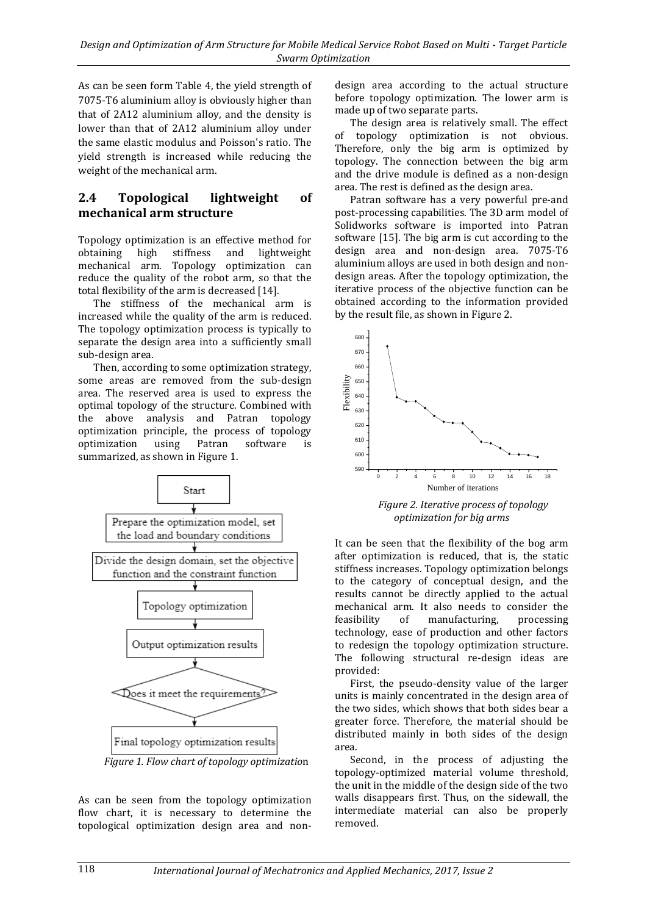As can be seen form Table 4, the yield strength of 7075-T6 aluminium alloy is obviously higher than that of 2A12 aluminium alloy, and the density is lower than that of 2A12 aluminium alloy under the same elastic modulus and Poisson's ratio. The yield strength is increased while reducing the weight of the mechanical arm.

### **2.4 Topological lightweight of mechanical arm structure**

Topology optimization is an effective method for obtaining high stiffness and lightweight mechanical arm. Topology optimization can reduce the quality of the robot arm, so that the total flexibility of the arm is decreased [14].

The stiffness of the mechanical arm is increased while the quality of the arm is reduced. The topology optimization process is typically to separate the design area into a sufficiently small sub-design area.

Then, according to some optimization strategy, some areas are removed from the sub-design area. The reserved area is used to express the optimal topology of the structure. Combined with the above analysis and Patran topology optimization principle, the process of topology<br>optimization using Patran software is optimization using Patran software is summarized, as shown in Figure 1.



As can be seen from the topology optimization flow chart, it is necessary to determine the topological optimization design area and nondesign area according to the actual structure before topology optimization. The lower arm is made up of two separate parts.

The design area is relatively small. The effect of topology optimization is not obvious. Therefore, only the big arm is optimized by topology. The connection between the big arm and the drive module is defined as a non-design area. The rest is defined as the design area.

Patran software has a very powerful pre-and post-processing capabilities. The 3D arm model of Solidworks software is imported into Patran software [15]. The big arm is cut according to the design area and non-design area. 7075-T6 aluminium alloys are used in both design and nondesign areas. After the topology optimization, the iterative process of the objective function can be obtained according to the information provided by the result file, as shown in Figure 2.



*Figure 2. Iterative process of topology optimization for big arms*

It can be seen that the flexibility of the bog arm after optimization is reduced, that is, the static stiffness increases. Topology optimization belongs to the category of conceptual design, and the results cannot be directly applied to the actual mechanical arm. It also needs to consider the feasibility of manufacturing, processing technology, ease of production and other factors to redesign the topology optimization structure. The following structural re-design ideas are provided:

First, the pseudo-density value of the larger units is mainly concentrated in the design area of the two sides, which shows that both sides bear a greater force. Therefore, the material should be distributed mainly in both sides of the design area.

Second, in the process of adjusting the topology-optimized material volume threshold, the unit in the middle of the design side of the two walls disappears first. Thus, on the sidewall, the intermediate material can also be properly removed.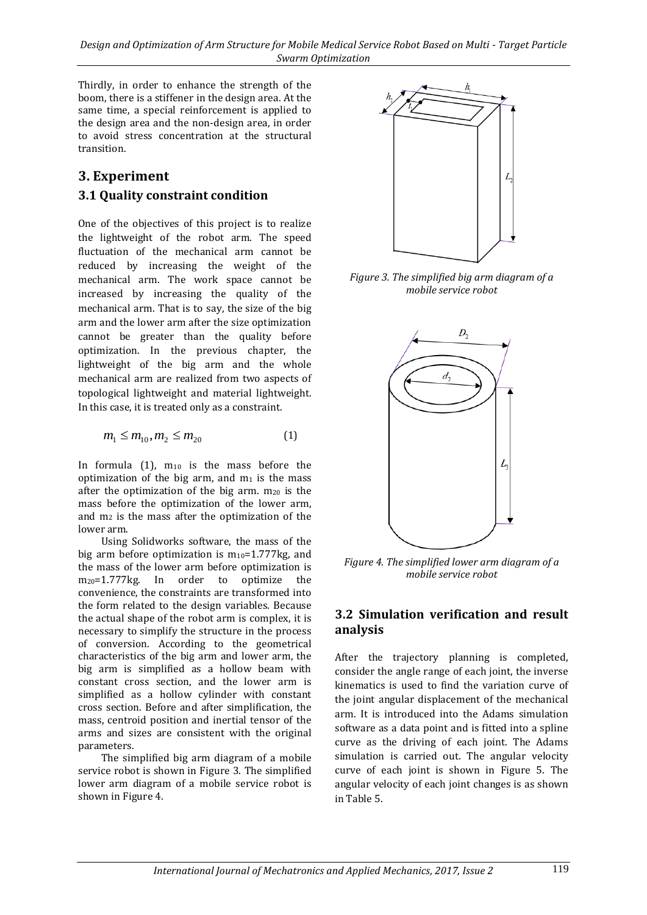Thirdly, in order to enhance the strength of the boom, there is a stiffener in the design area. At the same time, a special reinforcement is applied to the design area and the non-design area, in order to avoid stress concentration at the structural transition.

### **3. Experiment 3.1 Quality constraint condition**

One of the objectives of this project is to realize the lightweight of the robot arm. The speed fluctuation of the mechanical arm cannot be reduced by increasing the weight of the mechanical arm. The work space cannot be increased by increasing the quality of the mechanical arm. That is to say, the size of the big arm and the lower arm after the size optimization cannot be greater than the quality before optimization. In the previous chapter, the lightweight of the big arm and the whole mechanical arm are realized from two aspects of topological lightweight and material lightweight. In this case, it is treated only as a constraint.

$$
m_1 \le m_{10}, m_2 \le m_{20} \tag{1}
$$

In formula  $(1)$ ,  $m_{10}$  is the mass before the optimization of the big arm, and  $m_1$  is the mass after the optimization of the big arm.  $m_{20}$  is the mass before the optimization of the lower arm, and m<sup>2</sup> is the mass after the optimization of the lower arm.

Using Solidworks software, the mass of the big arm before optimization is  $m_{10}=1.777$  kg, and the mass of the lower arm before optimization is m20=1.777kg. In order to optimize the convenience, the constraints are transformed into the form related to the design variables. Because the actual shape of the robot arm is complex, it is necessary to simplify the structure in the process of conversion. According to the geometrical characteristics of the big arm and lower arm, the big arm is simplified as a hollow beam with constant cross section, and the lower arm is simplified as a hollow cylinder with constant cross section. Before and after simplification, the mass, centroid position and inertial tensor of the arms and sizes are consistent with the original parameters.

The simplified big arm diagram of a mobile service robot is shown in Figure 3. The simplified lower arm diagram of a mobile service robot is shown in Figure 4.



*Figure 3. The simplified big arm diagram of a mobile service robot*



*Figure 4. The simplified lower arm diagram of a mobile service robot*

#### **3.2 Simulation verification and result analysis**

After the trajectory planning is completed, consider the angle range of each joint, the inverse kinematics is used to find the variation curve of the joint angular displacement of the mechanical arm. It is introduced into the Adams simulation software as a data point and is fitted into a spline curve as the driving of each joint. The Adams simulation is carried out. The angular velocity curve of each joint is shown in Figure 5. The angular velocity of each joint changes is as shown in Table 5.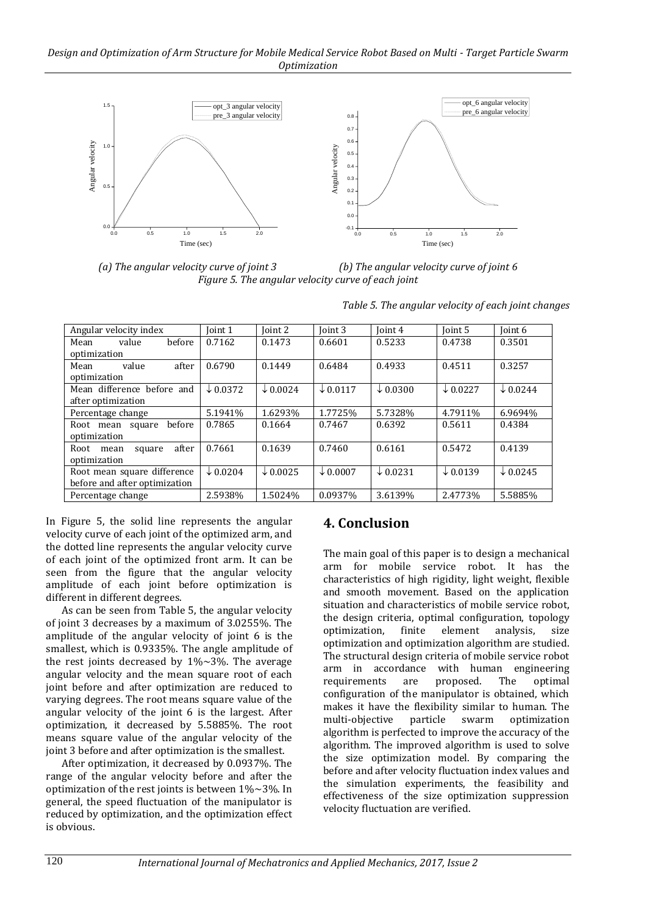#### *Design and Optimization of Arm Structure for Mobile Medical Service Robot Based on Multi - Target Particle Swarm Optimization*



*(a) The angular velocity curve of joint 3 (b) The angular velocity curve of joint 6 Figure 5. The angular velocity curve of each joint*

| Angular velocity index          | Joint 1             | Toint 2             | Ioint 3             | Ioint 4             | Ioint 5             | Ioint 6             |
|---------------------------------|---------------------|---------------------|---------------------|---------------------|---------------------|---------------------|
| before<br>value<br>Mean         | 0.7162              | 0.1473              | 0.6601              | 0.5233              | 0.4738              | 0.3501              |
| optimization                    |                     |                     |                     |                     |                     |                     |
| after<br>value<br>Mean          | 0.6790              | 0.1449              | 0.6484              | 0.4933              | 0.4511              | 0.3257              |
| optimization                    |                     |                     |                     |                     |                     |                     |
| Mean difference before and      | $\downarrow$ 0.0372 | $\downarrow$ 0.0024 | $\downarrow$ 0.0117 | $\downarrow$ 0.0300 | $\downarrow$ 0.0227 | $\times$ 0.0244     |
| after optimization              |                     |                     |                     |                     |                     |                     |
| Percentage change               | 5.1941%             | 1.6293%             | 1.7725%             | 5.7328%             | 4.7911%             | 6.9694%             |
| hefore<br>Root mean square      | 0.7865              | 0.1664              | 0.7467              | 0.6392              | 0.5611              | 0.4384              |
| optimization                    |                     |                     |                     |                     |                     |                     |
| after<br>Root<br>square<br>mean | 0.7661              | 0.1639              | 0.7460              | 0.6161              | 0.5472              | 0.4139              |
| optimization                    |                     |                     |                     |                     |                     |                     |
| Root mean square difference     | $\times$ 0.0204     | $\downarrow$ 0.0025 | $\downarrow$ 0.0007 | $\times$ 0.0231     | $\downarrow$ 0.0139 | $\downarrow$ 0.0245 |
| before and after optimization   |                     |                     |                     |                     |                     |                     |
| Percentage change               | 2.5938%             | 1.5024%             | 0.0937%             | 3.6139%             | 2.4773%             | 5.5885%             |

*Table 5. The angular velocity of each joint changes*

In Figure 5, the solid line represents the angular velocity curve of each joint of the optimized arm, and the dotted line represents the angular velocity curve of each joint of the optimized front arm. It can be seen from the figure that the angular velocity amplitude of each joint before optimization is different in different degrees.

As can be seen from Table 5, the angular velocity of joint 3 decreases by a maximum of 3.0255%. The amplitude of the angular velocity of joint 6 is the smallest, which is 0.9335%. The angle amplitude of the rest joints decreased by  $1\% \sim 3\%$ . The average angular velocity and the mean square root of each joint before and after optimization are reduced to varying degrees. The root means square value of the angular velocity of the joint 6 is the largest. After optimization, it decreased by 5.5885%. The root means square value of the angular velocity of the joint 3 before and after optimization is the smallest.

After optimization, it decreased by 0.0937%. The range of the angular velocity before and after the optimization of the rest joints is between 1%~3%. In general, the speed fluctuation of the manipulator is reduced by optimization, and the optimization effect is obvious.

### **4. Conclusion**

The main goal of this paper is to design a mechanical arm for mobile service robot. It has the characteristics of high rigidity, light weight, flexible and smooth movement. Based on the application situation and characteristics of mobile service robot, the design criteria, optimal configuration, topology optimization, finite element analysis, size optimization and optimization algorithm are studied. The structural design criteria of mobile service robot arm in accordance with human engineering requirements are proposed. The optimal configuration of the manipulator is obtained, which makes it have the flexibility similar to human. The multi-objective particle swarm optimization algorithm is perfected to improve the accuracy of the algorithm. The improved algorithm is used to solve the size optimization model. By comparing the before and after velocity fluctuation index values and the simulation experiments, the feasibility and effectiveness of the size optimization suppression velocity fluctuation are verified.